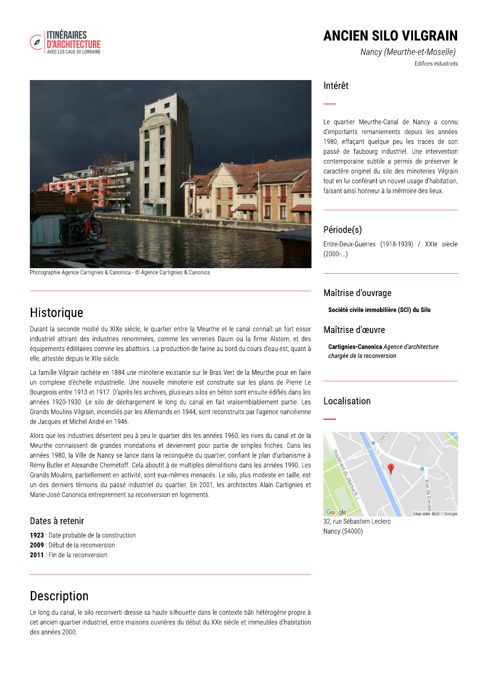

## **ANCIEN SILO VILGRAIN**

Nancy (Meurthe-et-Moselle) Edifices industriels



Photographie Agence Cartignies & Canonica - © Agence Cartignies & Canonica

### Historique

Durant la seconde moitié du XIXe siècle, le quartier entre la Meurthe et le canal connaît un fort essor industriel attirant des industries renommées, comme les verreries Daum ou la firme Alstom, et des équipements édilitaires comme les abattoirs. La production de farine au bord du cours d'eau est, quant à elle, attestée depuis le XIIe siècle.

La famille Vilgrain rachète en 1884 une minoterie existante sur le Bras Vert de la Meurthe pour en faire un complexe d'échelle industrielle. Une nouvelle minoterie est construite sur les plans de Pierre Le Bourgeois entre 1913 et 1917. D'après les archives, plusieurs silos en béton sont ensuite édifiés dans les années 1920-1930. Le silo de déchargement le long du canal en fait vraisemblablement partie. Les Grands Moulins Vilgrain, incendiés par les Allemands en 1944, sont reconstruits par l'agence nancéienne de Jacques et Michel André en 1946.

Alors que les industries désertent peu à peu le quartier dès les années 1960, les rives du canal et de la Meurthe connaissent de grandes inondations et deviennent pour partie de simples friches. Dans les années 1980, la Ville de Nancy se lance dans la reconquête du quartier, confiant le plan d'urbanisme à Rémy Butler et Alexandre Chemetoff. Cela aboutit à de multiples démolitions dans les années 1990. Les Grands Moulins, partiellement en activité, sont eux-mêmes menacés. Le silo, plus modeste en taille, est un des derniers témoins du passé industriel du quartier. En 2001, les architectes Alain Cartignies et Marie-José Canonica entreprennent sa reconversion en logements.

#### Dates à retenir

1923 : Date probable de la construction 2009 : Début de la reconversion 2011 : Fin de la reconversion

#### Intérêt

Le quartier Meurthe-Canal de Nancy a connu d'importants remaniements depuis les années 1980, effaçant quelque peu les traces de son passé de faubourg industriel. Une intervention contemporaine subtile a permis de préserver le caractère originel du silo des minoteries Vilgrain tout en lui conférant un nouvel usage d'habitation, faisant ainsi honneur à la mémoire des lieux.

#### Période(s)

Entre-Deux-Guerres (1918-1939) / XXIe siècle  $(2000-...)$ 

#### Maîtrise d'ouvrage

Société civile immobilière (SCI) du Silo

#### Maîtrise d'œuvre

Cartignies-Canonica Agence d'architecture chargée de la reconversion

#### Localisation



32, rue Sébastien Leclerc Nancy (54000)

## **Description**

Le long du canal, le silo reconverti dresse sa haute silhouette dans le contexte bâti hétérogène propre à cet ancien quartier industriel, entre maisons ouvrières du début du XXe siècle et immeubles d'habitation des années 2000.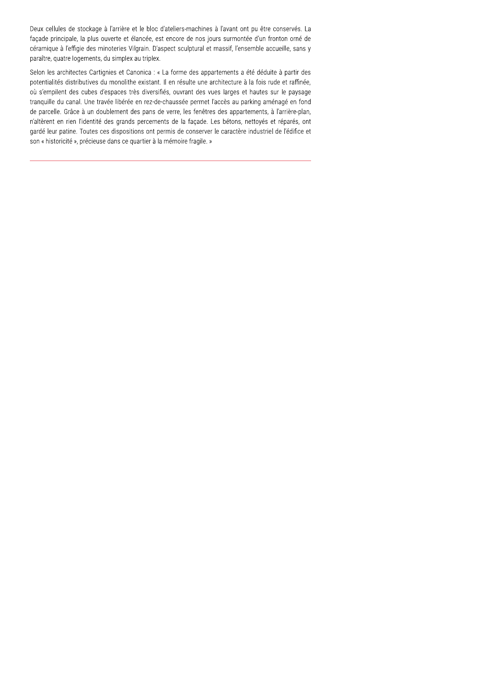Deux cellules de stockage à l'arrière et le bloc d'ateliers-machines à l'avant ont pu être conservés. La façade principale, la plus ouverte et élancée, est encore de nos jours surmontée d'un fronton orné de céramique à l'effigie des minoteries Vilgrain. D'aspect sculptural et massif, l'ensemble accueille, sans y paraître, quatre logements, du simplex au triplex.

Selon les architectes Cartignies et Canonica : « La forme des appartements a été déduite à partir des potentialités distributives du monolithe existant. Il en résulte une architecture à la fois rude et raffinée, où s'empilent des cubes d'espaces très diversifiés, ouvrant des vues larges et hautes sur le paysage tranquille du canal. Une travée libérée en rez-de-chaussée permet l'accès au parking aménagé en fond de parcelle. Grâce à un doublement des pans de verre, les fenêtres des appartements, à l'arrière-plan, n'altèrent en rien l'identité des grands percements de la façade. Les bétons, nettoyés et réparés, ont gardé leur patine. Toutes ces dispositions ont permis de conserver le caractère industriel de l'édifice et son « historicité », précieuse dans ce quartier à la mémoire fragile. »